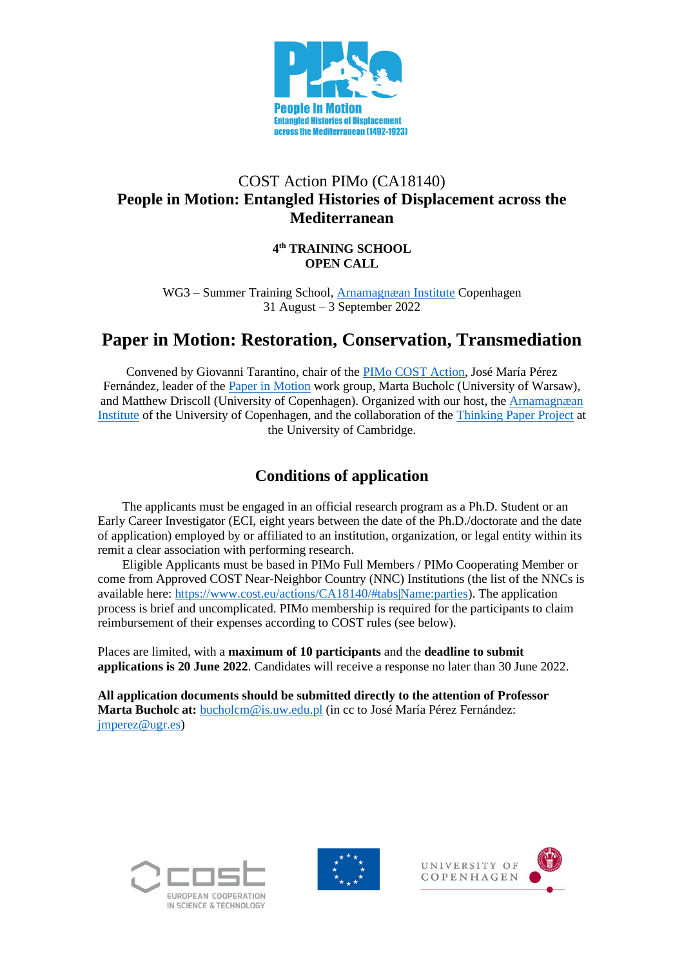

## COST Action PIMo (CA18140) **People in Motion: Entangled Histories of Displacement across the Mediterranean**

**4 th TRAINING SCHOOL OPEN CALL**

WG3 – Summer Training School, [Arnamagnæan Institute](https://nors.ku.dk/english/research/centres-and-groups/arnamagnaean/) Copenhagen 31 August – 3 September 2022

# **Paper in Motion: Restoration, Conservation, Transmediation**

Convened by Giovanni Tarantino, chair of the [PIMo COST Action,](http://www.peopleinmotion-costaction.org/) José María Pérez Fernández, leader of the [Paper in Motion](http://www.peopleinmotion-costaction.org/workgroups/paperinmotion/) work group, Marta Bucholc (University of Warsaw), and Matthew Driscoll (University of Copenhagen). Organized with our host, the [Arnamagnæan](https://nors.ku.dk/english/research/centres-and-groups/arnamagnaean/)  [Institute](https://nors.ku.dk/english/research/centres-and-groups/arnamagnaean/) of the University of Copenhagen, and the collaboration of the Thinking [Paper Project](https://collectionsresearch.lib.cam.ac.uk/research-growth-networks/materiality/thinking-paper) at the University of Cambridge.

# **Conditions of application**

The applicants must be engaged in an official research program as a Ph.D. Student or an Early Career Investigator (ECI, eight years between the date of the Ph.D./doctorate and the date of application) employed by or affiliated to an institution, organization, or legal entity within its remit a clear association with performing research.

Eligible Applicants must be based in PIMo Full Members / PIMo Cooperating Member or come from Approved COST Near-Neighbor Country (NNC) Institutions (the list of the NNCs is available here: [https://www.cost.eu/actions/CA18140/#tabs|Name:parties\)](https://www.cost.eu/actions/CA18140/#tabs|Name:parties). The application process is brief and uncomplicated. PIMo membership is required for the participants to claim reimbursement of their expenses according to COST rules (see below).

Places are limited, with a **maximum of 10 participants** and the **deadline to submit applications is 20 June 2022**. Candidates will receive a response no later than 30 June 2022.

**All application documents should be submitted directly to the attention of Professor Marta Bucholc at:** [bucholcm@is.uw.edu.pl](mailto:bucholcm@is.uw.edu.pl) (in cc to José María Pérez Fernández: [jmperez@ugr.es\)](mailto:jmperez@ugr.es)





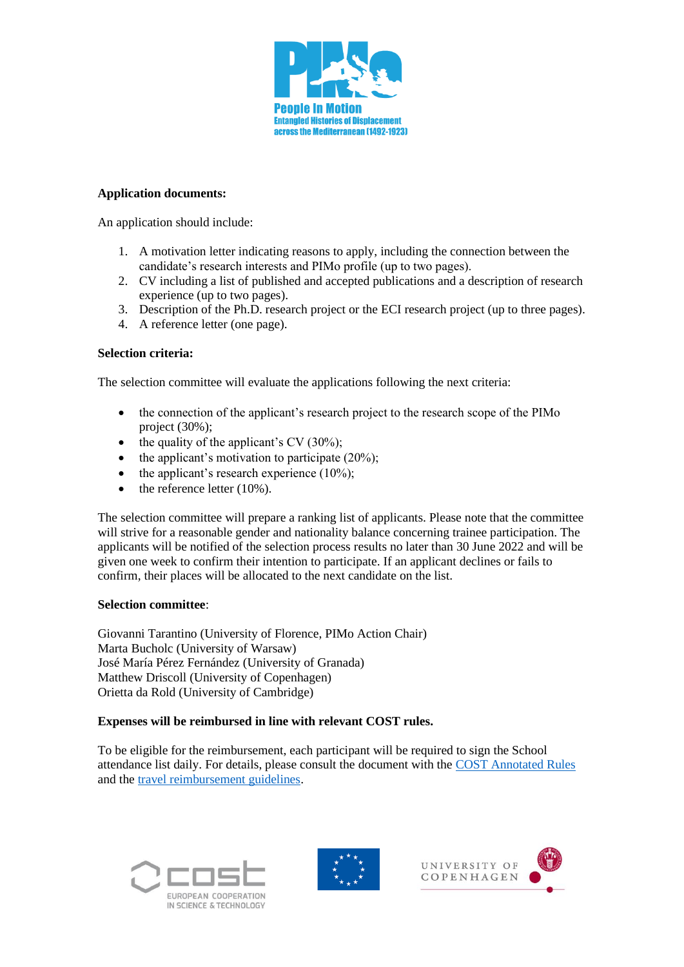

#### **Application documents:**

An application should include:

- 1. A motivation letter indicating reasons to apply, including the connection between the candidate's research interests and PIMo profile (up to two pages).
- 2. CV including a list of published and accepted publications and a description of research experience (up to two pages).
- 3. Description of the Ph.D. research project or the ECI research project (up to three pages).
- 4. A reference letter (one page).

#### **Selection criteria:**

The selection committee will evaluate the applications following the next criteria:

- the connection of the applicant's research project to the research scope of the PIMo project (30%);
- the quality of the applicant's CV  $(30\%)$ ;
- the applicant's motivation to participate  $(20\%)$ ;
- the applicant's research experience  $(10\%)$ ;
- $\bullet$  the reference letter (10%).

The selection committee will prepare a ranking list of applicants. Please note that the committee will strive for a reasonable gender and nationality balance concerning trainee participation. The applicants will be notified of the selection process results no later than 30 June 2022 and will be given one week to confirm their intention to participate. If an applicant declines or fails to confirm, their places will be allocated to the next candidate on the list.

#### **Selection committee**:

Giovanni Tarantino (University of Florence, PIMo Action Chair) Marta Bucholc (University of Warsaw) José María Pérez Fernández (University of Granada) Matthew Driscoll (University of Copenhagen) Orietta da Rold (University of Cambridge)

#### **Expenses will be reimbursed in line with relevant COST rules.**

To be eligible for the reimbursement, each participant will be required to sign the School attendance list daily. For details, please consult the document with the [COST Annotated Rules](https://www.cost.eu/uploads/2022/02/COST-094-21-Annotated-Rules-for-COST-Actions-Level-C-2022-02-15.pdf) and the [travel reimbursement guidelines.](https://www.cost.eu/uploads/2022/03/Travel-Reimbursement-Rules_March-2022.pdf)







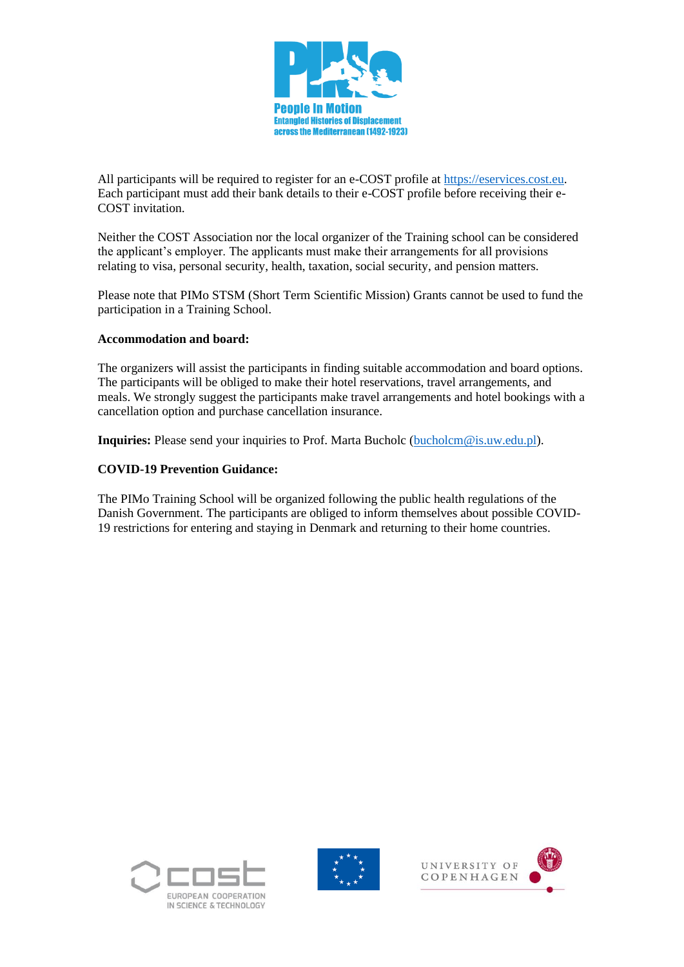

All participants will be required to register for an e-COST profile at [https://eservices.cost.eu.](https://eservices.cost.eu/) Each participant must add their bank details to their e-COST profile before receiving their e-COST invitation.

Neither the COST Association nor the local organizer of the Training school can be considered the applicant's employer. The applicants must make their arrangements for all provisions relating to visa, personal security, health, taxation, social security, and pension matters.

Please note that PIMo STSM (Short Term Scientific Mission) Grants cannot be used to fund the participation in a Training School.

#### **Accommodation and board:**

The organizers will assist the participants in finding suitable accommodation and board options. The participants will be obliged to make their hotel reservations, travel arrangements, and meals. We strongly suggest the participants make travel arrangements and hotel bookings with a cancellation option and purchase cancellation insurance.

**Inquiries:** Please send your inquiries to Prof. Marta Bucholc [\(bucholcm@is.uw.edu.pl\)](mailto:bucholcm@is.uw.edu.pl).

#### **COVID-19 Prevention Guidance:**

The PIMo Training School will be organized following the public health regulations of the Danish Government. The participants are obliged to inform themselves about possible COVID-19 restrictions for entering and staying in Denmark and returning to their home countries.





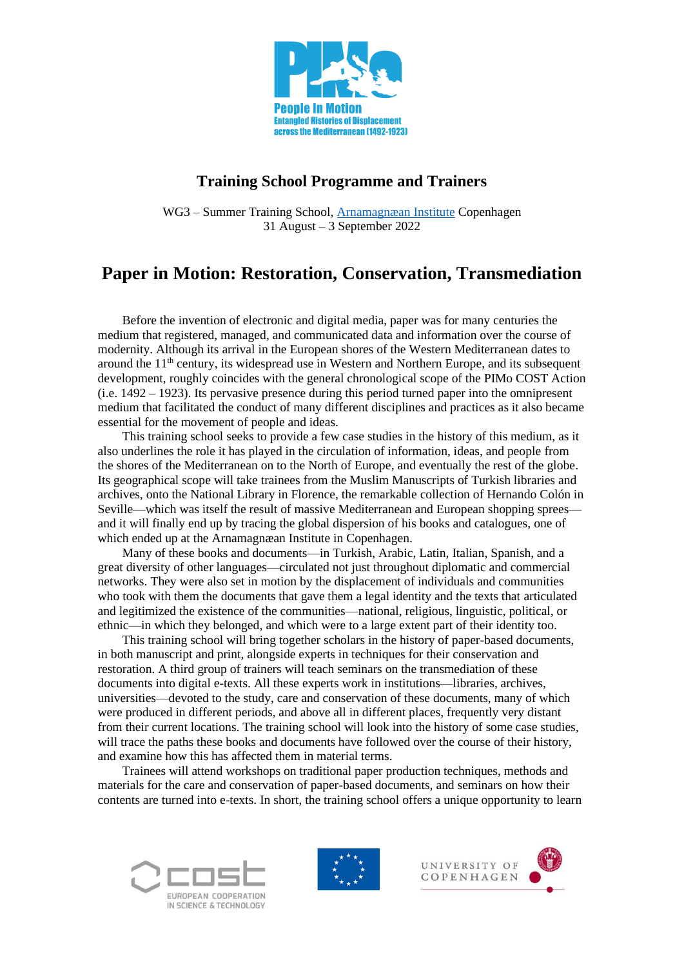

## **Training School Programme and Trainers**

WG3 – Summer Training School, [Arnamagnæan Institute](https://nors.ku.dk/english/research/centres-and-groups/arnamagnaean/) Copenhagen 31 August – 3 September 2022

# **Paper in Motion: Restoration, Conservation, Transmediation**

Before the invention of electronic and digital media, paper was for many centuries the medium that registered, managed, and communicated data and information over the course of modernity. Although its arrival in the European shores of the Western Mediterranean dates to around the 11<sup>th</sup> century, its widespread use in Western and Northern Europe, and its subsequent development, roughly coincides with the general chronological scope of the PIMo COST Action (i.e. 1492 – 1923). Its pervasive presence during this period turned paper into the omnipresent medium that facilitated the conduct of many different disciplines and practices as it also became essential for the movement of people and ideas.

This training school seeks to provide a few case studies in the history of this medium, as it also underlines the role it has played in the circulation of information, ideas, and people from the shores of the Mediterranean on to the North of Europe, and eventually the rest of the globe. Its geographical scope will take trainees from the Muslim Manuscripts of Turkish libraries and archives, onto the National Library in Florence, the remarkable collection of Hernando Colón in Seville—which was itself the result of massive Mediterranean and European shopping sprees and it will finally end up by tracing the global dispersion of his books and catalogues, one of which ended up at the Arnamagnæan Institute in Copenhagen.

Many of these books and documents—in Turkish, Arabic, Latin, Italian, Spanish, and a great diversity of other languages—circulated not just throughout diplomatic and commercial networks. They were also set in motion by the displacement of individuals and communities who took with them the documents that gave them a legal identity and the texts that articulated and legitimized the existence of the communities—national, religious, linguistic, political, or ethnic—in which they belonged, and which were to a large extent part of their identity too.

This training school will bring together scholars in the history of paper-based documents, in both manuscript and print, alongside experts in techniques for their conservation and restoration. A third group of trainers will teach seminars on the transmediation of these documents into digital e-texts. All these experts work in institutions—libraries, archives, universities—devoted to the study, care and conservation of these documents, many of which were produced in different periods, and above all in different places, frequently very distant from their current locations. The training school will look into the history of some case studies, will trace the paths these books and documents have followed over the course of their history, and examine how this has affected them in material terms.

Trainees will attend workshops on traditional paper production techniques, methods and materials for the care and conservation of paper-based documents, and seminars on how their contents are turned into e-texts. In short, the training school offers a unique opportunity to learn







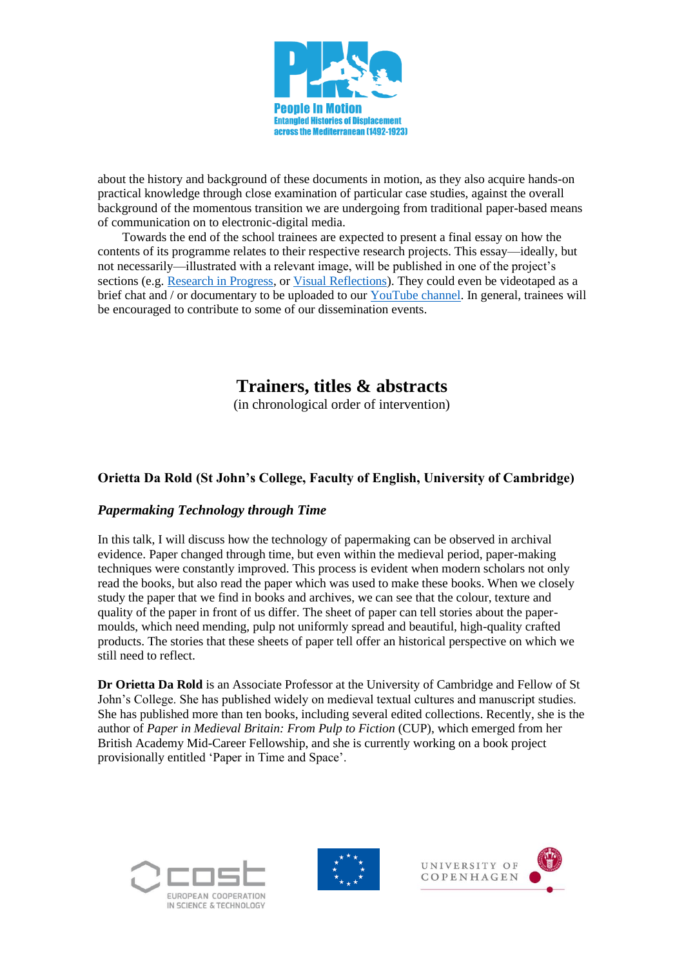

about the history and background of these documents in motion, as they also acquire hands-on practical knowledge through close examination of particular case studies, against the overall background of the momentous transition we are undergoing from traditional paper-based means of communication on to electronic-digital media.

Towards the end of the school trainees are expected to present a final essay on how the contents of its programme relates to their respective research projects. This essay—ideally, but not necessarily—illustrated with a relevant image, will be published in one of the project's sections (e.g. [Research in Progress,](http://www.peopleinmotion-costaction.org/category/research-in-progress/) or [Visual Reflections\)](http://www.peopleinmotion-costaction.org/category/visualreflections/). They could even be videotaped as a brief chat and / or documentary to be uploaded to our [YouTube channel.](http://www.youtube.com/channel/UCJoNYgCsi6njD8HpZ6dv74A/about) In general, trainees will be encouraged to contribute to some of our dissemination events.

# **Trainers, titles & abstracts**

(in chronological order of intervention)

## **Orietta Da Rold (St John's College, Faculty of English, University of Cambridge)**

## *Papermaking Technology through Time*

In this talk, I will discuss how the technology of papermaking can be observed in archival evidence. Paper changed through time, but even within the medieval period, paper-making techniques were constantly improved. This process is evident when modern scholars not only read the books, but also read the paper which was used to make these books. When we closely study the paper that we find in books and archives, we can see that the colour, texture and quality of the paper in front of us differ. The sheet of paper can tell stories about the papermoulds, which need mending, pulp not uniformly spread and beautiful, high-quality crafted products. The stories that these sheets of paper tell offer an historical perspective on which we still need to reflect.

**Dr Orietta Da Rold** is an Associate Professor at the University of Cambridge and Fellow of St John's College. She has published widely on medieval textual cultures and manuscript studies. She has published more than ten books, including several edited collections. Recently, she is the author of *Paper in Medieval Britain: From Pulp to Fiction* (CUP), which emerged from her British Academy Mid-Career Fellowship, and she is currently working on a book project provisionally entitled 'Paper in Time and Space'.







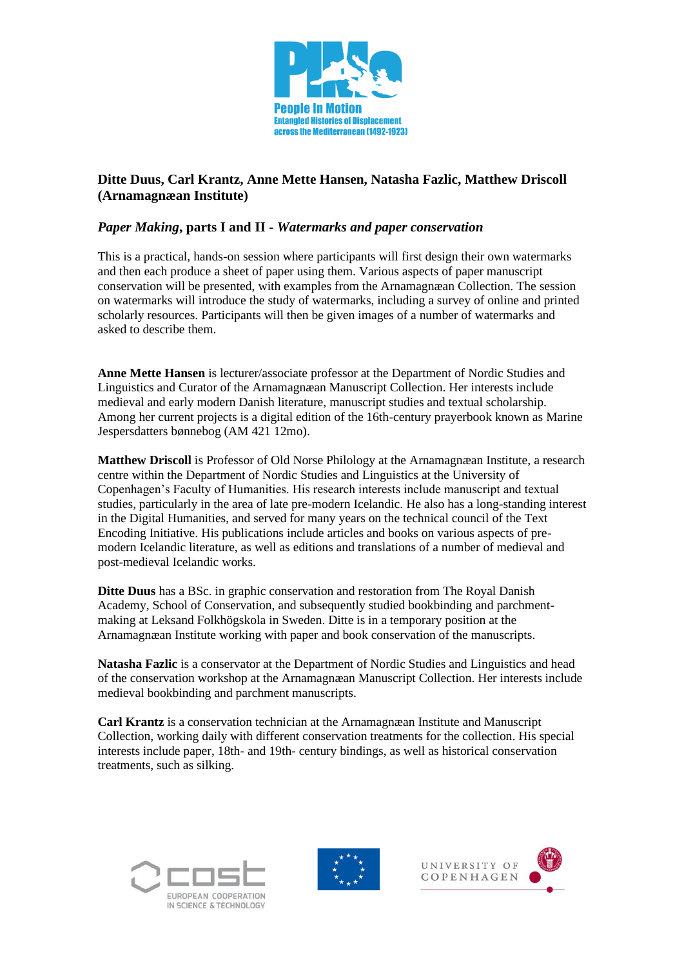

## **Ditte Duus, Carl Krantz, Anne Mette Hansen, Natasha Fazlic, Matthew Driscoll (Arnamagnæan Institute)**

#### *Paper Making***, parts I and II -** *Watermarks and paper conservation*

This is a practical, hands-on session where participants will first design their own watermarks and then each produce a sheet of paper using them. Various aspects of paper manuscript conservation will be presented, with examples from the Arnamagnæan Collection. The session on watermarks will introduce the study of watermarks, including a survey of online and printed scholarly resources. Participants will then be given images of a number of watermarks and asked to describe them.

**Anne Mette Hansen** is lecturer/associate professor at the Department of Nordic Studies and Linguistics and Curator of the Arnamagnæan Manuscript Collection. Her interests include medieval and early modern Danish literature, manuscript studies and textual scholarship. Among her current projects is a digital edition of the 16th-century prayerbook known as Marine Jespersdatters bønnebog (AM 421 12mo).

**Matthew Driscoll** is Professor of Old Norse Philology at the Arnamagnæan Institute, a research centre within the Department of Nordic Studies and Linguistics at the University of Copenhagen's Faculty of Humanities. His research interests include manuscript and textual studies, particularly in the area of late pre-modern Icelandic. He also has a long-standing interest in the Digital Humanities, and served for many years on the technical council of the Text Encoding Initiative. His publications include articles and books on various aspects of premodern Icelandic literature, as well as editions and translations of a number of medieval and post-medieval Icelandic works.

**Ditte Duus** has a BSc. in graphic conservation and restoration from The Royal Danish Academy, School of Conservation, and subsequently studied bookbinding and parchmentmaking at Leksand Folkhögskola in Sweden. Ditte is in a temporary position at the Arnamagnæan Institute working with paper and book conservation of the manuscripts.

**Natasha Fazlic** is a conservator at the Department of Nordic Studies and Linguistics and head of the conservation workshop at the Arnamagnæan Manuscript Collection. Her interests include medieval bookbinding and parchment manuscripts.

**Carl Krantz** is a conservation technician at the Arnamagnæan Institute and Manuscript Collection, working daily with different conservation treatments for the collection. His special interests include paper, 18th- and 19th- century bindings, as well as historical conservation treatments, such as silking.





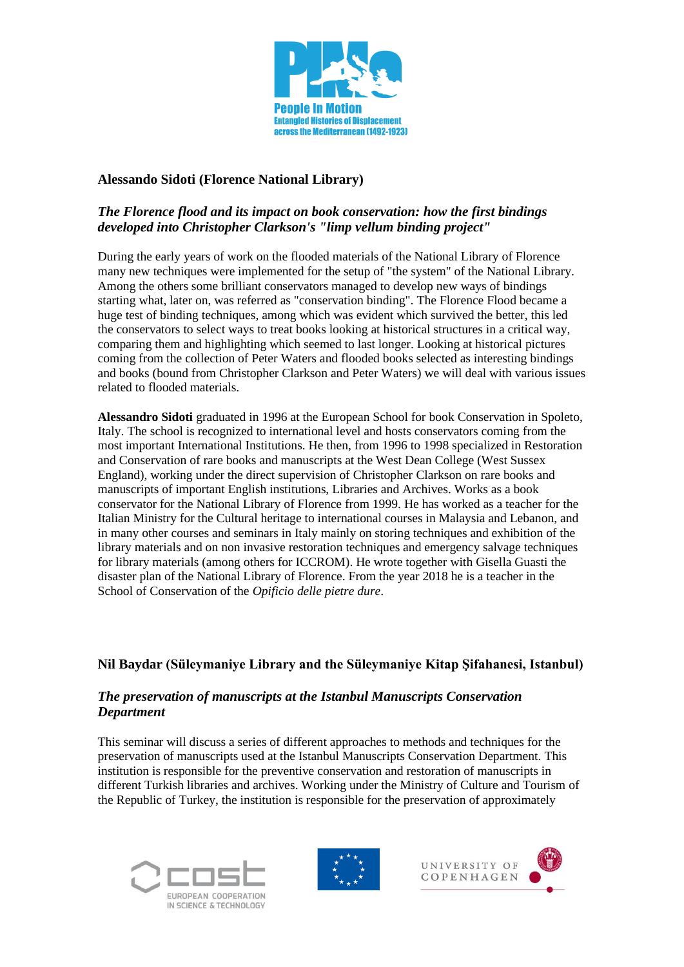

#### **Alessando Sidoti (Florence National Library)**

## *The Florence flood and its impact on book conservation: how the first bindings developed into Christopher Clarkson's "limp vellum binding project"*

During the early years of work on the flooded materials of the National Library of Florence many new techniques were implemented for the setup of "the system" of the National Library. Among the others some brilliant conservators managed to develop new ways of bindings starting what, later on, was referred as "conservation binding". The Florence Flood became a huge test of binding techniques, among which was evident which survived the better, this led the conservators to select ways to treat books looking at historical structures in a critical way, comparing them and highlighting which seemed to last longer. Looking at historical pictures coming from the collection of Peter Waters and flooded books selected as interesting bindings and books (bound from Christopher Clarkson and Peter Waters) we will deal with various issues related to flooded materials.

**Alessandro Sidoti** graduated in 1996 at the European School for book Conservation in Spoleto, Italy. The school is recognized to international level and hosts conservators coming from the most important International Institutions. He then, from 1996 to 1998 specialized in Restoration and Conservation of rare books and manuscripts at the West Dean College (West Sussex England), working under the direct supervision of Christopher Clarkson on rare books and manuscripts of important English institutions, Libraries and Archives. Works as a book conservator for the National Library of Florence from 1999. He has worked as a teacher for the Italian Ministry for the Cultural heritage to international courses in Malaysia and Lebanon, and in many other courses and seminars in Italy mainly on storing techniques and exhibition of the library materials and on non invasive restoration techniques and emergency salvage techniques for library materials (among others for ICCROM). He wrote together with Gisella Guasti the disaster plan of the National Library of Florence. From the year 2018 he is a teacher in the School of Conservation of the *Opificio delle pietre dure*.

## **Nil Baydar (Süleymaniye Library and the Süleymaniye Kitap Şifahanesi, Istanbul)**

#### *The preservation of manuscripts at the Istanbul Manuscripts Conservation Department*

This seminar will discuss a series of different approaches to methods and techniques for the preservation of manuscripts used at the Istanbul Manuscripts Conservation Department. This institution is responsible for the preventive conservation and restoration of manuscripts in different Turkish libraries and archives. Working under the Ministry of Culture and Tourism of the Republic of Turkey, the institution is responsible for the preservation of approximately







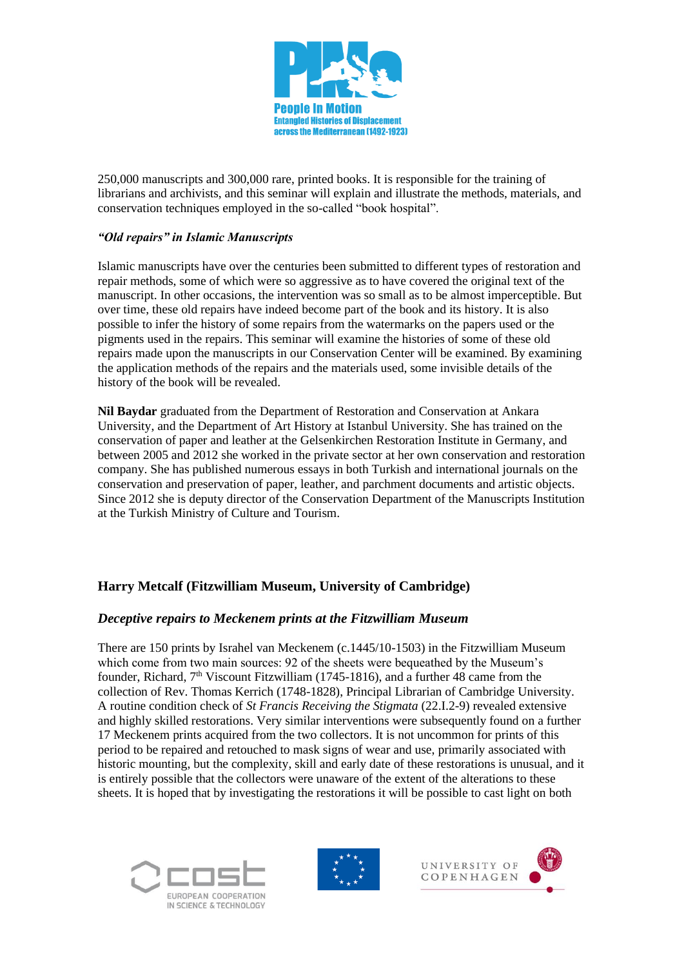

250,000 manuscripts and 300,000 rare, printed books. It is responsible for the training of librarians and archivists, and this seminar will explain and illustrate the methods, materials, and conservation techniques employed in the so-called "book hospital".

#### *"Old repairs" in Islamic Manuscripts*

Islamic manuscripts have over the centuries been submitted to different types of restoration and repair methods, some of which were so aggressive as to have covered the original text of the manuscript. In other occasions, the intervention was so small as to be almost imperceptible. But over time, these old repairs have indeed become part of the book and its history. It is also possible to infer the history of some repairs from the watermarks on the papers used or the pigments used in the repairs. This seminar will examine the histories of some of these old repairs made upon the manuscripts in our Conservation Center will be examined. By examining the application methods of the repairs and the materials used, some invisible details of the history of the book will be revealed.

**Nil Baydar** graduated from the Department of Restoration and Conservation at Ankara University, and the Department of Art History at Istanbul University. She has trained on the conservation of paper and leather at the Gelsenkirchen Restoration Institute in Germany, and between 2005 and 2012 she worked in the private sector at her own conservation and restoration company. She has published numerous essays in both Turkish and international journals on the conservation and preservation of paper, leather, and parchment documents and artistic objects. Since 2012 she is deputy director of the Conservation Department of the Manuscripts Institution at the Turkish Ministry of Culture and Tourism.

## **Harry Metcalf (Fitzwilliam Museum, University of Cambridge)**

#### *Deceptive repairs to Meckenem prints at the Fitzwilliam Museum*

There are 150 prints by Israhel van Meckenem (c.1445/10-1503) in the Fitzwilliam Museum which come from two main sources: 92 of the sheets were bequeathed by the Museum's founder, Richard,  $7<sup>th</sup>$  Viscount Fitzwilliam (1745-1816), and a further 48 came from the collection of Rev. Thomas Kerrich (1748-1828), Principal Librarian of Cambridge University. A routine condition check of *St Francis Receiving the Stigmata* (22.I.2-9) revealed extensive and highly skilled restorations. Very similar interventions were subsequently found on a further 17 Meckenem prints acquired from the two collectors. It is not uncommon for prints of this period to be repaired and retouched to mask signs of wear and use, primarily associated with historic mounting, but the complexity, skill and early date of these restorations is unusual, and it is entirely possible that the collectors were unaware of the extent of the alterations to these sheets. It is hoped that by investigating the restorations it will be possible to cast light on both







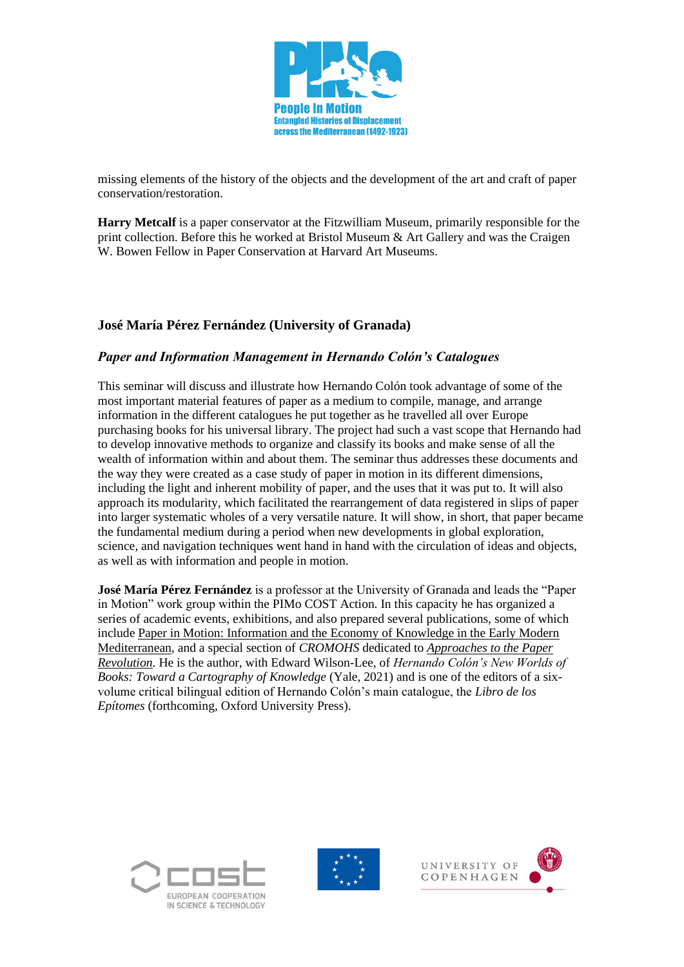

missing elements of the history of the objects and the development of the art and craft of paper conservation/restoration.

**Harry Metcalf** is a paper conservator at the Fitzwilliam Museum, primarily responsible for the print collection. Before this he worked at Bristol Museum & Art Gallery and was the Craigen W. Bowen Fellow in Paper Conservation at Harvard Art Museums.

## **José María Pérez Fernández (University of Granada)**

#### *Paper and Information Management in Hernando Colón's Catalogues*

This seminar will discuss and illustrate how Hernando Colón took advantage of some of the most important material features of paper as a medium to compile, manage, and arrange information in the different catalogues he put together as he travelled all over Europe purchasing books for his universal library. The project had such a vast scope that Hernando had to develop innovative methods to organize and classify its books and make sense of all the wealth of information within and about them. The seminar thus addresses these documents and the way they were created as a case study of paper in motion in its different dimensions, including the light and inherent mobility of paper, and the uses that it was put to. It will also approach its modularity, which facilitated the rearrangement of data registered in slips of paper into larger systematic wholes of a very versatile nature. It will show, in short, that paper became the fundamental medium during a period when new developments in global exploration, science, and navigation techniques went hand in hand with the circulation of ideas and objects, as well as with information and people in motion.

**José María Pérez Fernández** is a professor at the University of Granada and leads the "Paper in Motion" work group within the PIMo COST Action. In this capacity he has organized a series of academic events, exhibitions, and also prepared several publications, some of which include [Paper in Motion: Information and the Economy of](https://www.paperinmotion.org/) Knowledge in the Early Modern [Mediterranean,](https://www.paperinmotion.org/) and a special section of *CROMOHS* dedicated to *[Approaches to the Paper](https://oajournals.fupress.net/index.php/cromohs/issue/view/533/111)  [Revolution](https://oajournals.fupress.net/index.php/cromohs/issue/view/533/111)*. He is the author, with Edward Wilson-Lee, of *Hernando Colón's New Worlds of Books: Toward a Cartography of Knowledge* (Yale, 2021) and is one of the editors of a sixvolume critical bilingual edition of Hernando Colón's main catalogue, the *Libro de los Epítomes* (forthcoming, Oxford University Press).





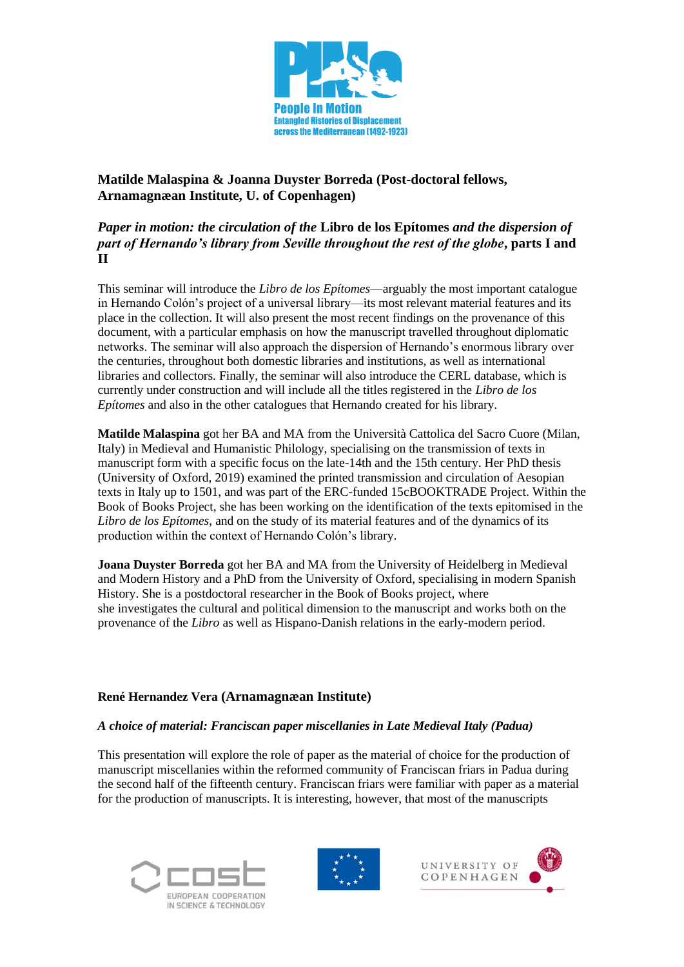

**Matilde Malaspina & Joanna Duyster Borreda (Post-doctoral fellows, Arnamagnæan Institute, U. of Copenhagen)**

## *Paper in motion: the circulation of the* **Libro de los Epítomes** *and the dispersion of part of Hernando's library from Seville throughout the rest of the globe***, parts I and II**

This seminar will introduce the *Libro de los Epítomes*—arguably the most important catalogue in Hernando Colón's project of a universal library—its most relevant material features and its place in the collection. It will also present the most recent findings on the provenance of this document, with a particular emphasis on how the manuscript travelled throughout diplomatic networks. The seminar will also approach the dispersion of Hernando's enormous library over the centuries, throughout both domestic libraries and institutions, as well as international libraries and collectors. Finally, the seminar will also introduce the CERL database, which is currently under construction and will include all the titles registered in the *Libro de los Epítomes* and also in the other catalogues that Hernando created for his library.

**Matilde Malaspina** got her BA and MA from the Università Cattolica del Sacro Cuore (Milan, Italy) in Medieval and Humanistic Philology, specialising on the transmission of texts in manuscript form with a specific focus on the late-14th and the 15th century. Her PhD thesis (University of Oxford, 2019) examined the printed transmission and circulation of Aesopian texts in Italy up to 1501, and was part of the ERC-funded 15cBOOKTRADE Project. Within the Book of Books Project, she has been working on the identification of the texts epitomised in the *Libro de los Epítomes*, and on the study of its material features and of the dynamics of its production within the context of Hernando Colón's library.

**Joana Duyster Borreda** got her BA and MA from the University of Heidelberg in Medieval and Modern History and a PhD from the University of Oxford, specialising in modern Spanish History. She is a postdoctoral researcher in the Book of Books project, where she investigates the cultural and political dimension to the manuscript and works both on the provenance of the *Libro* as well as Hispano-Danish relations in the early-modern period.

## **René Hernandez Vera (Arnamagnæan Institute)**

#### *A choice of material: Franciscan paper miscellanies in Late Medieval Italy (Padua)*

This presentation will explore the role of paper as the material of choice for the production of manuscript miscellanies within the reformed community of Franciscan friars in Padua during the second half of the fifteenth century. Franciscan friars were familiar with paper as a material for the production of manuscripts. It is interesting, however, that most of the manuscripts





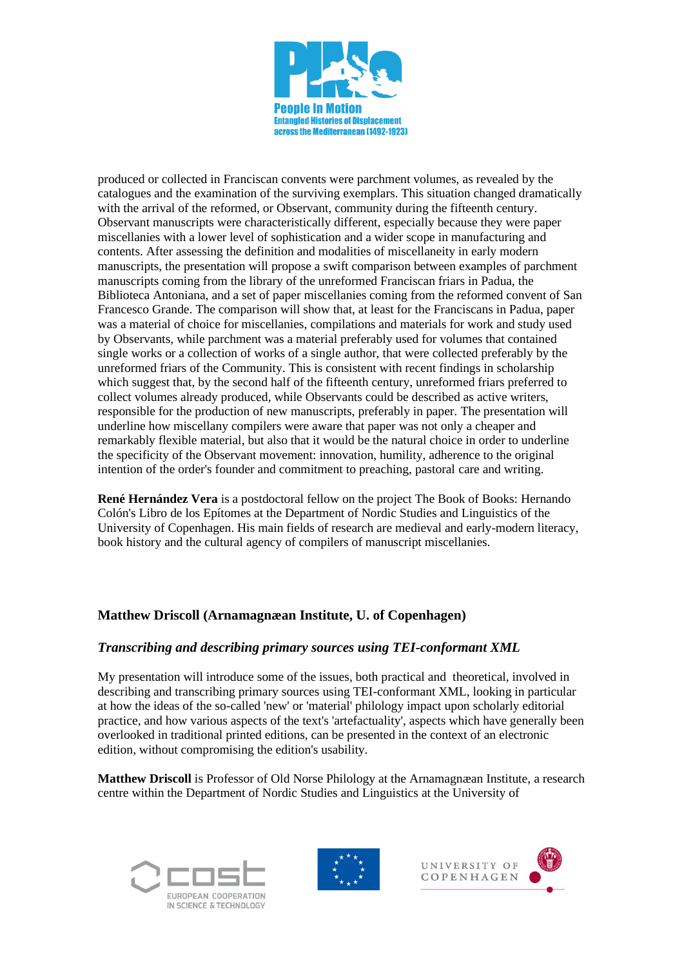

produced or collected in Franciscan convents were parchment volumes, as revealed by the catalogues and the examination of the surviving exemplars. This situation changed dramatically with the arrival of the reformed, or Observant, community during the fifteenth century. Observant manuscripts were characteristically different, especially because they were paper miscellanies with a lower level of sophistication and a wider scope in manufacturing and contents. After assessing the definition and modalities of miscellaneity in early modern manuscripts, the presentation will propose a swift comparison between examples of parchment manuscripts coming from the library of the unreformed Franciscan friars in Padua, the Biblioteca Antoniana, and a set of paper miscellanies coming from the reformed convent of San Francesco Grande. The comparison will show that, at least for the Franciscans in Padua, paper was a material of choice for miscellanies, compilations and materials for work and study used by Observants, while parchment was a material preferably used for volumes that contained single works or a collection of works of a single author, that were collected preferably by the unreformed friars of the Community. This is consistent with recent findings in scholarship which suggest that, by the second half of the fifteenth century, unreformed friars preferred to collect volumes already produced, while Observants could be described as active writers, responsible for the production of new manuscripts, preferably in paper. The presentation will underline how miscellany compilers were aware that paper was not only a cheaper and remarkably flexible material, but also that it would be the natural choice in order to underline the specificity of the Observant movement: innovation, humility, adherence to the original intention of the order's founder and commitment to preaching, pastoral care and writing.

**René Hernández Vera** is a postdoctoral fellow on the project The Book of Books: Hernando Colón's Libro de los Epítomes at the Department of Nordic Studies and Linguistics of the University of Copenhagen. His main fields of research are medieval and early-modern literacy, book history and the cultural agency of compilers of manuscript miscellanies.

## **Matthew Driscoll (Arnamagnæan Institute, U. of Copenhagen)**

#### *Transcribing and describing primary sources using TEI-conformant XML*

My presentation will introduce some of the issues, both practical and theoretical, involved in describing and transcribing primary sources using TEI-conformant XML, looking in particular at how the ideas of the so-called 'new' or 'material' philology impact upon scholarly editorial practice, and how various aspects of the text's 'artefactuality', aspects which have generally been overlooked in traditional printed editions, can be presented in the context of an electronic edition, without compromising the edition's usability.

**Matthew Driscoll** is Professor of Old Norse Philology at the Arnamagnæan Institute, a research centre within the Department of Nordic Studies and Linguistics at the University of







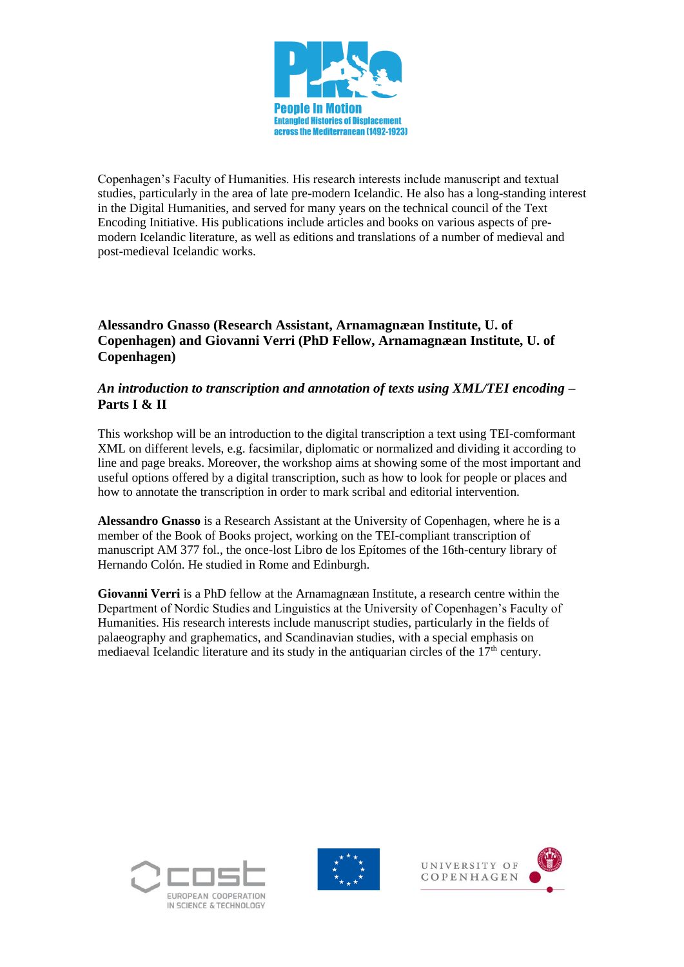

Copenhagen's Faculty of Humanities. His research interests include manuscript and textual studies, particularly in the area of late pre-modern Icelandic. He also has a long-standing interest in the Digital Humanities, and served for many years on the technical council of the Text Encoding Initiative. His publications include articles and books on various aspects of premodern Icelandic literature, as well as editions and translations of a number of medieval and post-medieval Icelandic works.

## **Alessandro Gnasso (Research Assistant, Arnamagnæan Institute, U. of Copenhagen) and Giovanni Verri (PhD Fellow, Arnamagnæan Institute, U. of Copenhagen)**

## *An introduction to transcription and annotation of texts using XML/TEI encoding* **– Parts I & II**

This workshop will be an introduction to the digital transcription a text using TEI-comformant XML on different levels, e.g. facsimilar, diplomatic or normalized and dividing it according to line and page breaks. Moreover, the workshop aims at showing some of the most important and useful options offered by a digital transcription, such as how to look for people or places and how to annotate the transcription in order to mark scribal and editorial intervention.

**Alessandro Gnasso** is a Research Assistant at the University of Copenhagen, where he is a member of the Book of Books project, working on the TEI-compliant transcription of manuscript AM 377 fol., the once-lost Libro de los Epítomes of the 16th-century library of Hernando Colón. He studied in Rome and Edinburgh.

**Giovanni Verri** is a PhD fellow at the Arnamagnæan Institute, a research centre within the Department of Nordic Studies and Linguistics at the University of Copenhagen's Faculty of Humanities. His research interests include manuscript studies, particularly in the fields of palaeography and graphematics, and Scandinavian studies, with a special emphasis on mediaeval Icelandic literature and its study in the antiquarian circles of the  $17<sup>th</sup>$  century.